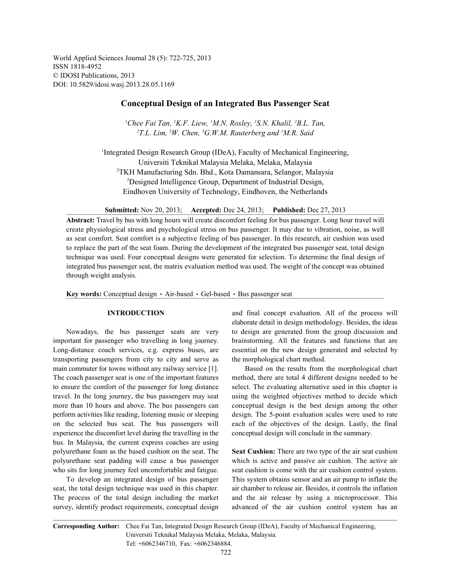World Applied Sciences Journal 28 (5): 722-725, 2013 ISSN 1818-4952 © IDOSI Publications, 2013 DOI: 10.5829/idosi.wasj.2013.28.05.1169

## **Conceptual Design of an Integrated Bus Passenger Seat**

<sup>1</sup>Chee Fai Tan, <sup>1</sup>K.F. Liew, <sup>1</sup>M.N. Rosley, <sup>1</sup>S.N. Khalil, <sup>2</sup>B.L. Tan,  $T^2$ T.L. Lim, <sup>3</sup>W. Chen, <sup>3</sup>G.W.M. Rauterberg and <sup>1</sup>M.R. Said

<sup>1</sup>Integrated Design Research Group (IDeA), Faculty of Mechanical Engineering, Universiti Teknikal Malaysia Melaka, Melaka, Malaysia TKH Manufacturing Sdn. Bhd., Kota Damansara, Selangor, Malaysia <sup>2</sup> <sup>3</sup>Designed Intelligence Group, Department of Industrial Design, Eindhoven University of Technology, Eindhoven, the Netherlands

**Submitted:** Nov 20, 2013; **Accepted:** Dec 24, 2013; **Published:** Dec 27, 2013

**Abstract:** Travel by bus with long hours will create discomfort feeling for bus passenger. Long hour travel will create physiological stress and psychological stress on bus passenger. It may due to vibration, noise, as well as seat comfort. Seat comfort is a subjective feeling of bus passenger. In this research, air cushion was used to replace the part of the seat foam. During the development of the integrated bus passenger seat, total design technique was used. Four conceptual designs were generated for selection. To determine the final design of integrated bus passenger seat, the matrix evaluation method was used. The weight of the concept was obtained through weight analysis.

Key words: Conceptual design · Air-based · Gel-based · Bus passenger seat

important for passenger who travelling in long journey. brainstorming. All the features and functions that are Long-distance coach services, e.g. express buses, are essential on the new design generated and selected by transporting passengers from city to city and serve as the morphological chart method. main commuter for towns without any railway service [1]. Based on the results from the morphological chart The coach passenger seat is one of the important features method, there are total 4 different designs needed to be to ensure the comfort of the passenger for long distance select. The evaluating alternative used in this chapter is travel. In the long journey, the bus passengers may seat using the weighted objectives method to decide which more than 10 hours and above. The bus passengers can conceptual design is the best design among the other perform activities like reading, listening music or sleeping design. The 5-point evaluation scales were used to rate on the selected bus seat. The bus passengers will each of the objectives of the design. Lastly, the final experience the discomfort level during the travelling in the conceptual design will conclude in the summary. bus. In Malaysia, the current express coaches are using polyurethane foam as the based cushion on the seat. The **Seat Cushion:** There are two type of the air seat cushion polyurethane seat padding will cause a bus passenger which is active and passive air cushion. The active air who sits for long journey feel uncomfortable and fatigue. seat cushion is come with the air cushion control system.

seat, the total design technique was used in this chapter. air chamber to release air. Besides, it controls the inflation The process of the total design including the market and the air release by using a microprocessor. This survey, identify product requirements, conceptual design advanced of the air cushion control system has an

**INTRODUCTION** and final concept evaluation. All of the process will Nowadays, the bus passenger seats are very to design are generated from the group discussion and elaborate detail in design methodology. Besides, the ideas

To develop an integrated design of bus passenger This system obtains sensor and an air pump to inflate the

**Corresponding Author:** Chee Fai Tan, Integrated Design Research Group (IDeA), Faculty of Mechanical Engineering, Universiti Teknikal Malaysia Melaka, Melaka, Malaysia. Tel: +6062346710, Fax: +6062346884.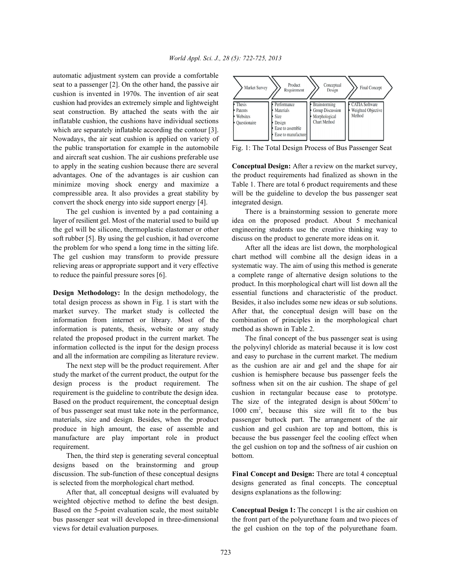automatic adjustment system can provide a comfortable seat to a passenger [2]. On the other hand, the passive air cushion is invented in 1970s. The invention of air seat cushion had provides an extremely simple and lightweight seat construction. By attached the seats with the air inflatable cushion, the cushions have individual sections which are separately inflatable according the contour [3]. Nowadays, the air seat cushion is applied on variety of the public transportation for example in the automobile Fig. 1: The Total Design Process of Bus Passenger Seat and aircraft seat cushion. The air cushions preferable use to apply in the seating cushion because there are several **Conceptual Design:** After a review on the market survey, advantages. One of the advantages is air cushion can the product requirements had finalized as shown in the minimize moving shock energy and maximize a Table 1. There are total 6 product requirements and these compressible area. It also provides a great stability by will be the guideline to develop the bus passenger seat convert the shock energy into side support energy [4]. integrated design.

layer of resilient gel. Most of the material used to build up idea on the proposed product. About 5 mechanical the gel will be silicone, thermoplastic elastomer or other engineering students use the creative thinking way to soft rubber [5]. By using the gel cushion, it had overcome discuss on the product to generate more ideas on it. the problem for who spend a long time in the sitting life. After all the ideas are list down, the morphological The gel cushion may transform to provide pressure chart method will combine all the design ideas in a relieving areas or appropriate support and it very effective systematic way. The aim of using this method is generate to reduce the painful pressure sores [6]. a complete range of alternative design solutions to the

total design process as shown in Fig. 1 is start with the Besides, it also includes some new ideas or sub solutions. market survey. The market study is collected the After that, the conceptual design will base on the information from internet or library. Most of the combination of principles in the morphological chart information is patents, thesis, website or any study method as shown in Table 2. related the proposed product in the current market. The The final concept of the bus passenger seat is using information collected is the input for the design process the polyvinyl chloride as material because it is low cost and all the information are compiling as literature review. and easy to purchase in the current market. The medium

study the market of the current product, the output for the cushion is hemisphere because bus passenger feels the design process is the product requirement. The softness when sit on the air cushion. The shape of gel requirement is the guideline to contribute the design idea. cushion in rectangular because ease to prototype. Based on the product requirement, the conceptual design The size of the integrated design is about 500cm<sup>2</sup> to of bus passenger seat must take note in the performance, materials, size and design. Besides, when the product passenger buttock part. The arrangement of the air produce in high amount, the ease of assemble and cushion and gel cushion are top and bottom, this is manufacture are play important role in product because the bus passenger feel the cooling effect when requirement. the gel cushion on top and the softness of air cushion on

Then, the third step is generating several conceptual bottom. designs based on the brainstorming and group discussion. The sub-function of these conceptual designs **Final Concept and Design:** There are total 4 conceptual is selected from the morphological chart method. designs generated as final concepts. The conceptual

After that, all conceptual designs will evaluated by designs explanations as the following: weighted objective method to define the best design. Based on the 5-point evaluation scale, the most suitable **Conceptual Design 1:** The concept 1 is the air cushion on views for detail evaluation purposes. the gel cushion on the top of the polyurethane foam.



The gel cushion is invented by a pad containing a There is a brainstorming session to generate more

**Design Methodology:** In the design methodology, the essential functions and characteristic of the product. product. In this morphological chart will list down all the

The next step will be the product requirement. After as the cushion are air and gel and the shape for air  $1000 \text{ cm}^2$ , because this size will fit to the bus

bus passenger seat will developed in three-dimensional the front part of the polyurethane foam and two pieces of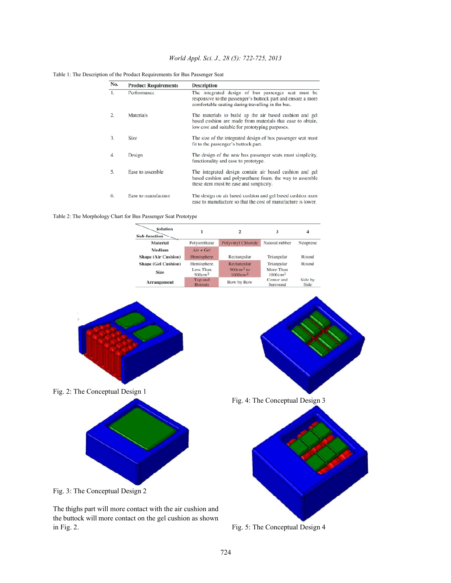# *World Appl. Sci. J., 28 (5): 722-725, 2013*

| Table 1: The Description of the Product Requirements for Bus Passenger Seat |  |  |  |
|-----------------------------------------------------------------------------|--|--|--|
|-----------------------------------------------------------------------------|--|--|--|

| No. | <b>Product Requirements</b> | <b>Description</b>                                                                                                                                                       |  |  |  |  |  |  |
|-----|-----------------------------|--------------------------------------------------------------------------------------------------------------------------------------------------------------------------|--|--|--|--|--|--|
| 1.  | Performance                 | The integrated design of bus passenger seat must be<br>responsive to the passenger's buttock part and ensure a more<br>comfortable seating during travelling in the bus. |  |  |  |  |  |  |
| 2.  | Materials                   | The materials to build up the air based cushion and gel<br>based cushion are made from materials that ease to obtain,<br>low cost and suitable for prototyping purposes. |  |  |  |  |  |  |
| 3.  | <b>Size</b>                 | The size of the integrated design of bus passenger seat must<br>fit to the passenger's buttock part.                                                                     |  |  |  |  |  |  |
| 4.  | Design                      | The design of the new bus passenger seats must simplicity.<br>functionality and ease to prototype.                                                                       |  |  |  |  |  |  |
| 5.  | Ease to assemble            | The integrated design contain air based cushion and gel<br>based cushion and polyurethane foam, the way to assemble<br>these item must be ease and simplicity.           |  |  |  |  |  |  |
| 6.  | Ease to manufacture         | The design on air based cushion and gel based cushion must<br>ease to manufacture so that the cost of manufacture is lower.                                              |  |  |  |  |  |  |

Table 2: The Morphology Chart for Bus Passenger Seat Prototype

| Solution<br>Sub-function                  |                                               | 2                                                 | 3                                              | Δ<br>Neoprene   |  |
|-------------------------------------------|-----------------------------------------------|---------------------------------------------------|------------------------------------------------|-----------------|--|
| Material                                  | Polyurethane                                  | Polyvinyl Chloride                                | Natural rubber                                 |                 |  |
| Medium<br><b>Shape (Air Cushion)</b>      | $Air + Gel$<br>Hemisphere                     | Rectangular                                       | Triangular                                     | Round           |  |
| <b>Shape (Gel Cushion)</b><br><b>Size</b> | Hemisphere<br>Less Than<br>500cm <sup>2</sup> | Rectangular<br>$500cm2$ to<br>1000cm <sup>2</sup> | Triangular<br>More Than<br>1000cm <sup>2</sup> | Round           |  |
| Arrangement                               | Top and<br><b>Bottom</b>                      | Row by Row                                        | Center and<br>Surround                         | Side by<br>Side |  |



The thighs part will more contact with the air cushion and the buttock will more contact on the gel cushion as shown in Fig. 2. Fig. 3: The Conceptual Design 4